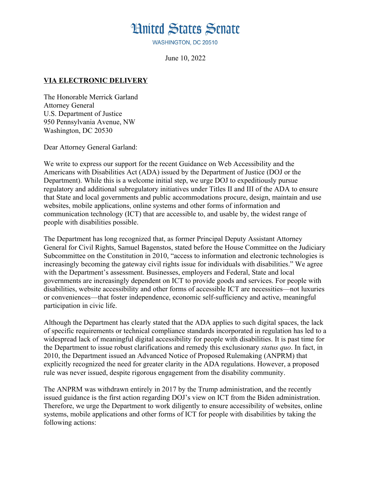## **Hnited States Senate**

WASHINGTON, DC 20510

June 10, 2022

## **VIA ELECTRONIC DELIVERY**

The Honorable Merrick Garland Attorney General U.S. Department of Justice 950 Pennsylvania Avenue, NW Washington, DC 20530

Dear Attorney General Garland:

We write to express our support for the recent Guidance on Web Accessibility and the Americans with Disabilities Act (ADA) issued by the Department of Justice (DOJ or the Department). While this is a welcome initial step, we urge DOJ to expeditiously pursue regulatory and additional subregulatory initiatives under Titles II and III of the ADA to ensure that State and local governments and public accommodations procure, design, maintain and use websites, mobile applications, online systems and other forms of information and communication technology (ICT) that are accessible to, and usable by, the widest range of people with disabilities possible.

The Department has long recognized that, as former Principal Deputy Assistant Attorney General for Civil Rights, Samuel Bagenstos, stated before the House Committee on the Judiciary Subcommittee on the Constitution in 2010, "access to information and electronic technologies is increasingly becoming the gateway civil rights issue for individuals with disabilities." We agree with the Department's assessment. Businesses, employers and Federal, State and local governments are increasingly dependent on ICT to provide goods and services. For people with disabilities, website accessibility and other forms of accessible ICT are necessities—not luxuries or conveniences—that foster independence, economic self-sufficiency and active, meaningful participation in civic life.

Although the Department has clearly stated that the ADA applies to such digital spaces, the lack of specific requirements or technical compliance standards incorporated in regulation has led to a widespread lack of meaningful digital accessibility for people with disabilities. It is past time for the Department to issue robust clarifications and remedy this exclusionary *status quo*. In fact, in 2010, the Department issued an Advanced Notice of Proposed Rulemaking (ANPRM) that explicitly recognized the need for greater clarity in the ADA regulations. However, a proposed rule was never issued, despite rigorous engagement from the disability community.

The ANPRM was withdrawn entirely in 2017 by the Trump administration, and the recently issued guidance is the first action regarding DOJ's view on ICT from the Biden administration. Therefore, we urge the Department to work diligently to ensure accessibility of websites, online systems, mobile applications and other forms of ICT for people with disabilities by taking the following actions: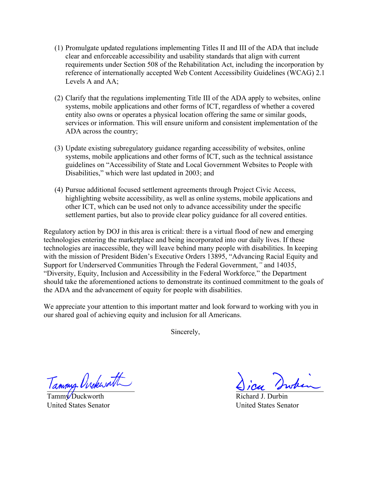- (1) Promulgate updated regulations implementing Titles II and III of the ADA that include clear and enforceable accessibility and usability standards that align with current requirements under Section 508 of the Rehabilitation Act, including the incorporation by reference of internationally accepted Web Content Accessibility Guidelines (WCAG) 2.1 Levels A and AA;
- (2) Clarify that the regulations implementing Title III of the ADA apply to websites, online systems, mobile applications and other forms of ICT, regardless of whether a covered entity also owns or operates a physical location offering the same or similar goods, services or information. This will ensure uniform and consistent implementation of the ADA across the country;
- (3) Update existing subregulatory guidance regarding accessibility of websites, online systems, mobile applications and other forms of ICT, such as the technical assistance guidelines on "Accessibility of State and Local Government Websites to People with Disabilities," which were last updated in 2003; and
- (4) Pursue additional focused settlement agreements through Project Civic Access, highlighting website accessibility, as well as online systems, mobile applications and other ICT, which can be used not only to advance accessibility under the specific settlement parties, but also to provide clear policy guidance for all covered entities.

Regulatory action by DOJ in this area is critical: there is a virtual flood of new and emerging technologies entering the marketplace and being incorporated into our daily lives. If these technologies are inaccessible, they will leave behind many people with disabilities. In keeping with the mission of President Biden's Executive Orders 13895, "Advancing Racial Equity and Support for Underserved Communities Through the Federal Government,*"* and 14035, "Diversity, Equity, Inclusion and Accessibility in the Federal Workforce*,*" the Department should take the aforementioned actions to demonstrate its continued commitment to the goals of the ADA and the advancement of equity for people with disabilities.

We appreciate your attention to this important matter and look forward to working with you in our shared goal of achieving equity and inclusion for all Americans.

Sincerely,

Tammy Orckwatt

 $Tamm\nu$ Duckworth United States Senator

Richard J. Durbin United States Senator